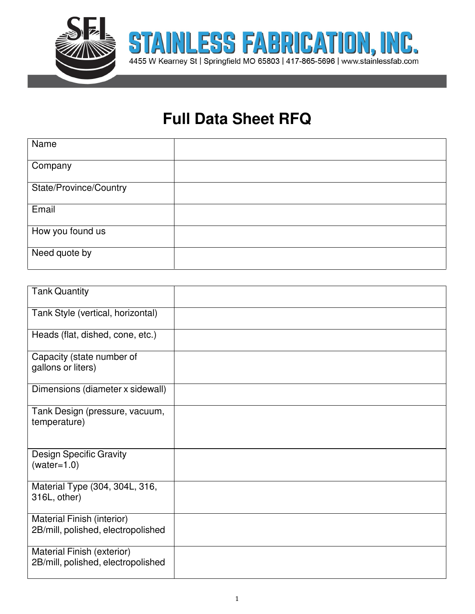

## **Full Data Sheet RFQ**

| Name                   |  |
|------------------------|--|
| Company                |  |
| State/Province/Country |  |
| Email                  |  |
| How you found us       |  |
| Need quote by          |  |

| <b>Tank Quantity</b>                                             |  |
|------------------------------------------------------------------|--|
| Tank Style (vertical, horizontal)                                |  |
| Heads (flat, dished, cone, etc.)                                 |  |
| Capacity (state number of<br>gallons or liters)                  |  |
| Dimensions (diameter x sidewall)                                 |  |
| Tank Design (pressure, vacuum,<br>temperature)                   |  |
| <b>Design Specific Gravity</b><br>$(water=1.0)$                  |  |
| Material Type (304, 304L, 316,<br>316L, other)                   |  |
| Material Finish (interior)<br>2B/mill, polished, electropolished |  |
| Material Finish (exterior)<br>2B/mill, polished, electropolished |  |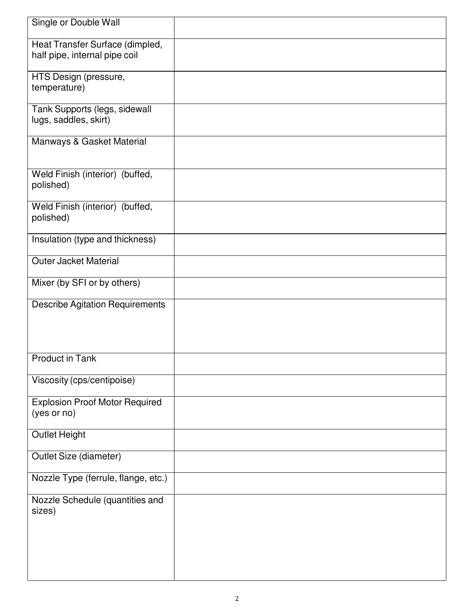| Single or Double Wall                                            |  |
|------------------------------------------------------------------|--|
| Heat Transfer Surface (dimpled,<br>half pipe, internal pipe coil |  |
| HTS Design (pressure,<br>temperature)                            |  |
| Tank Supports (legs, sidewall<br>lugs, saddles, skirt)           |  |
| Manways & Gasket Material                                        |  |
| Weld Finish (interior) (buffed,<br>polished)                     |  |
| Weld Finish (interior) (buffed,<br>polished)                     |  |
| Insulation (type and thickness)                                  |  |
| <b>Outer Jacket Material</b>                                     |  |
| Mixer (by SFI or by others)                                      |  |
| <b>Describe Agitation Requirements</b>                           |  |
| <b>Product in Tank</b>                                           |  |
| Viscosity (cps/centipoise)                                       |  |
| <b>Explosion Proof Motor Required</b><br>(yes or no)             |  |
| <b>Outlet Height</b>                                             |  |
| Outlet Size (diameter)                                           |  |
| Nozzle Type (ferrule, flange, etc.)                              |  |
| Nozzle Schedule (quantities and<br>sizes)                        |  |
|                                                                  |  |